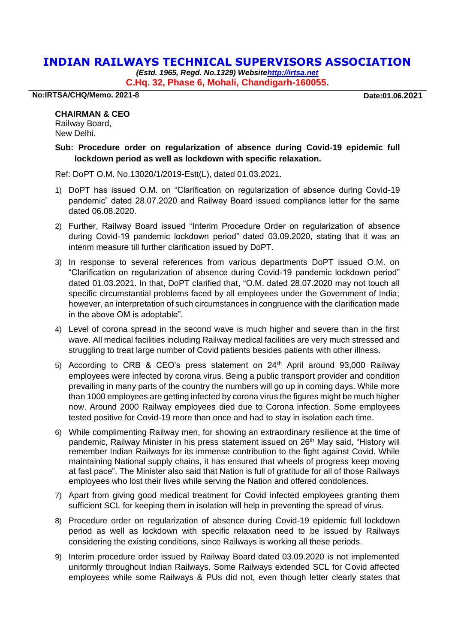## **INDIAN RAILWAYS TECHNICAL SUPERVISORS ASSOCIATION**

*(Estd. 1965, Regd. No.1329) Websit[ehttp://irtsa.net](http://irtsa.net/)* **C.Hq. 32, Phase 6, Mohali, Chandigarh-160055.**

**No:IRTSA/CHQ/Memo. 2021-8 Date:01.06.2021**

## **CHAIRMAN & CEO**

Railway Board, New Delhi.

## **Sub: Procedure order on regularization of absence during Covid-19 epidemic full lockdown period as well as lockdown with specific relaxation.**

Ref: DoPT O.M. No.13020/1/2019-Estt(L), dated 01.03.2021.

- 1) DoPT has issued O.M. on "Clarification on regularization of absence during Covid-19 pandemic" dated 28.07.2020 and Railway Board issued compliance letter for the same dated 06.08.2020.
- 2) Further, Railway Board issued "Interim Procedure Order on regularization of absence during Covid-19 pandemic lockdown period" dated 03.09.2020, stating that it was an interim measure till further clarification issued by DoPT.
- 3) In response to several references from various departments DoPT issued O.M. on "Clarification on regularization of absence during Covid-19 pandemic lockdown period" dated 01.03.2021. In that, DoPT clarified that, "O.M. dated 28.07.2020 may not touch all specific circumstantial problems faced by all employees under the Government of India; however, an interpretation of such circumstances in congruence with the clarification made in the above OM is adoptable".
- 4) Level of corona spread in the second wave is much higher and severe than in the first wave. All medical facilities including Railway medical facilities are very much stressed and struggling to treat large number of Covid patients besides patients with other illness.
- 5) According to CRB & CEO's press statement on  $24<sup>th</sup>$  April around 93,000 Railway employees were infected by corona virus. Being a public transport provider and condition prevailing in many parts of the country the numbers will go up in coming days. While more than 1000 employees are getting infected by corona virus the figures might be much higher now. Around 2000 Railway employees died due to Corona infection. Some employees tested positive for Covid-19 more than once and had to stay in isolation each time.
- 6) While complimenting Railway men, for showing an extraordinary resilience at the time of pandemic, Railway Minister in his press statement issued on 26<sup>th</sup> May said, "History will remember Indian Railways for its immense contribution to the fight against Covid. While maintaining National supply chains, it has ensured that wheels of progress keep moving at fast pace". The Minister also said that Nation is full of gratitude for all of those Railways employees who lost their lives while serving the Nation and offered condolences.
- 7) Apart from giving good medical treatment for Covid infected employees granting them sufficient SCL for keeping them in isolation will help in preventing the spread of virus.
- 8) Procedure order on regularization of absence during Covid-19 epidemic full lockdown period as well as lockdown with specific relaxation need to be issued by Railways considering the existing conditions, since Railways is working all these periods.
- 9) Interim procedure order issued by Railway Board dated 03.09.2020 is not implemented uniformly throughout Indian Railways. Some Railways extended SCL for Covid affected employees while some Railways & PUs did not, even though letter clearly states that